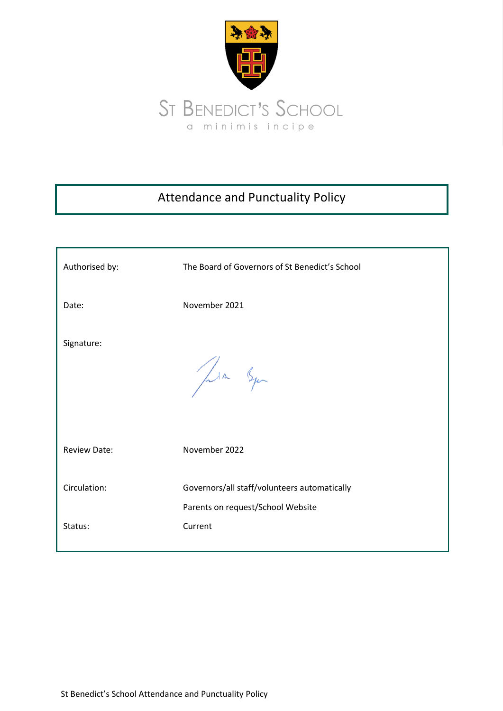

# Attendance and Punctuality Policy

| Authorised by:      | The Board of Governors of St Benedict's School                                    |
|---------------------|-----------------------------------------------------------------------------------|
| Date:               | November 2021                                                                     |
| Signature:          | Jula Squ                                                                          |
| <b>Review Date:</b> | November 2022                                                                     |
| Circulation:        | Governors/all staff/volunteers automatically<br>Parents on request/School Website |
| Status:             | Current                                                                           |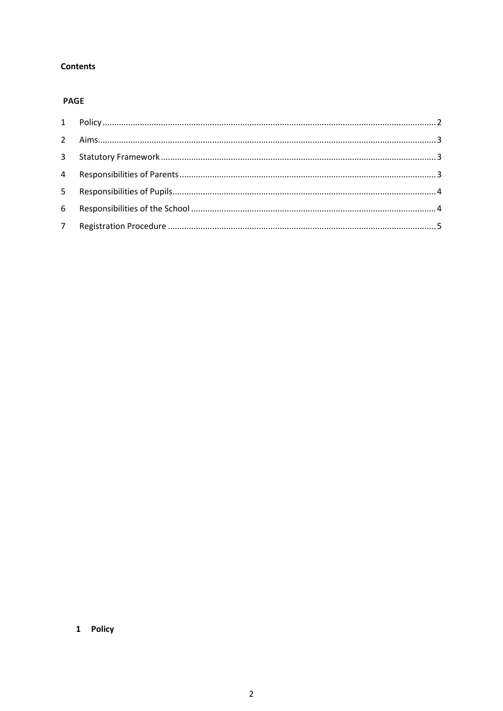#### **Contents**

# **PAGE**

<span id="page-1-0"></span>

| $\mathbf{1}$   |  |
|----------------|--|
|                |  |
| 3 <sup>7</sup> |  |
|                |  |
| 5 <sub>1</sub> |  |
| 6              |  |
|                |  |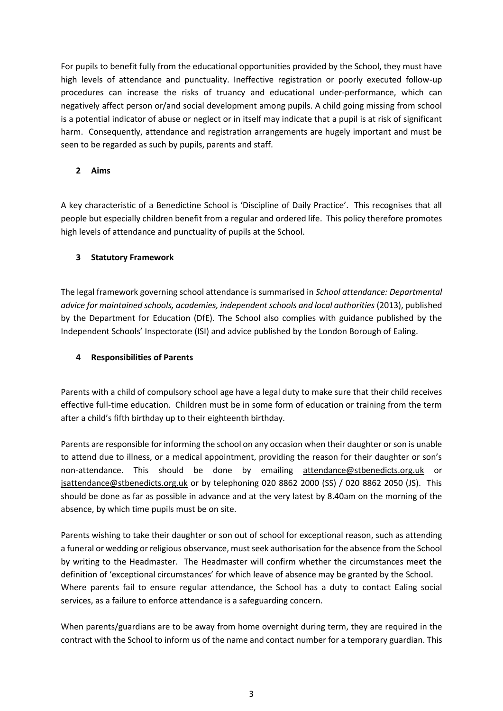For pupils to benefit fully from the educational opportunities provided by the School, they must have high levels of attendance and punctuality. Ineffective registration or poorly executed follow-up procedures can increase the risks of truancy and educational under-performance, which can negatively affect person or/and social development among pupils. A child going missing from school is a potential indicator of abuse or neglect or in itself may indicate that a pupil is at risk of significant harm. Consequently, attendance and registration arrangements are hugely important and must be seen to be regarded as such by pupils, parents and staff.

## <span id="page-2-0"></span>**2 Aims**

A key characteristic of a Benedictine School is 'Discipline of Daily Practice'. This recognises that all people but especially children benefit from a regular and ordered life. This policy therefore promotes high levels of attendance and punctuality of pupils at the School.

## <span id="page-2-1"></span>**3 Statutory Framework**

The legal framework governing school attendance is summarised in *School attendance: Departmental advice for maintained schools, academies, independent schools and local authorities* (2013), published by the Department for Education (DfE). The School also complies with guidance published by the Independent Schools' Inspectorate (ISI) and advice published by the London Borough of Ealing.

#### <span id="page-2-2"></span>**4 Responsibilities of Parents**

Parents with a child of compulsory school age have a legal duty to make sure that their child receives effective full-time education. Children must be in some form of education or training from the term after a child's fifth birthday up to their eighteenth birthday.

Parents are responsible for informing the school on any occasion when their daughter or son is unable to attend due to illness, or a medical appointment, providing the reason for their daughter or son's non-attendance. This should be done by emailing [attendance@stbenedicts.org.uk](mailto:attendance@stbenedicts.org.uk) or [jsattendance@stbenedicts.org.uk](mailto:jsattendance@stbenedicts.org.uk) or by telephoning 020 8862 2000 (SS) / 020 8862 2050 (JS). This should be done as far as possible in advance and at the very latest by 8.40am on the morning of the absence, by which time pupils must be on site.

Parents wishing to take their daughter or son out of school for exceptional reason, such as attending a funeral or wedding or religious observance, must seek authorisation for the absence from the School by writing to the Headmaster. The Headmaster will confirm whether the circumstances meet the definition of 'exceptional circumstances' for which leave of absence may be granted by the School. Where parents fail to ensure regular attendance, the School has a duty to contact Ealing social services, as a failure to enforce attendance is a safeguarding concern.

When parents/guardians are to be away from home overnight during term, they are required in the contract with the School to inform us of the name and contact number for a temporary guardian. This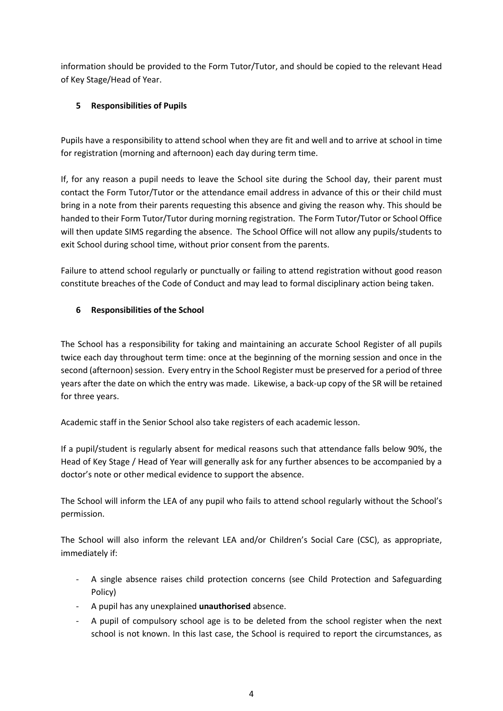information should be provided to the Form Tutor/Tutor, and should be copied to the relevant Head of Key Stage/Head of Year.

# <span id="page-3-0"></span>**5 Responsibilities of Pupils**

Pupils have a responsibility to attend school when they are fit and well and to arrive at school in time for registration (morning and afternoon) each day during term time.

If, for any reason a pupil needs to leave the School site during the School day, their parent must contact the Form Tutor/Tutor or the attendance email address in advance of this or their child must bring in a note from their parents requesting this absence and giving the reason why. This should be handed to their Form Tutor/Tutor during morning registration. The Form Tutor/Tutor or School Office will then update SIMS regarding the absence. The School Office will not allow any pupils/students to exit School during school time, without prior consent from the parents.

Failure to attend school regularly or punctually or failing to attend registration without good reason constitute breaches of the Code of Conduct and may lead to formal disciplinary action being taken.

## <span id="page-3-1"></span>**6 Responsibilities of the School**

The School has a responsibility for taking and maintaining an accurate School Register of all pupils twice each day throughout term time: once at the beginning of the morning session and once in the second (afternoon) session. Every entry in the School Register must be preserved for a period of three years after the date on which the entry was made. Likewise, a back-up copy of the SR will be retained for three years.

Academic staff in the Senior School also take registers of each academic lesson.

If a pupil/student is regularly absent for medical reasons such that attendance falls below 90%, the Head of Key Stage / Head of Year will generally ask for any further absences to be accompanied by a doctor's note or other medical evidence to support the absence.

The School will inform the LEA of any pupil who fails to attend school regularly without the School's permission.

The School will also inform the relevant LEA and/or Children's Social Care (CSC), as appropriate, immediately if:

- A single absence raises child protection concerns (see Child Protection and Safeguarding Policy)
- A pupil has any unexplained **unauthorised** absence.
- A pupil of compulsory school age is to be deleted from the school register when the next school is not known. In this last case, the School is required to report the circumstances, as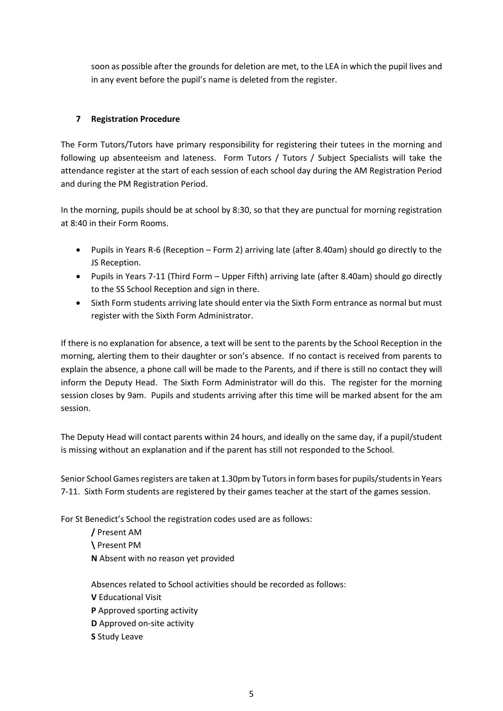soon as possible after the grounds for deletion are met, to the LEA in which the pupil lives and in any event before the pupil's name is deleted from the register.

## <span id="page-4-0"></span>**7 Registration Procedure**

The Form Tutors/Tutors have primary responsibility for registering their tutees in the morning and following up absenteeism and lateness. Form Tutors / Tutors / Subject Specialists will take the attendance register at the start of each session of each school day during the AM Registration Period and during the PM Registration Period.

In the morning, pupils should be at school by 8:30, so that they are punctual for morning registration at 8:40 in their Form Rooms.

- Pupils in Years R-6 (Reception Form 2) arriving late (after 8.40am) should go directly to the JS Reception.
- Pupils in Years 7-11 (Third Form Upper Fifth) arriving late (after 8.40am) should go directly to the SS School Reception and sign in there.
- Sixth Form students arriving late should enter via the Sixth Form entrance as normal but must register with the Sixth Form Administrator.

If there is no explanation for absence, a text will be sent to the parents by the School Reception in the morning, alerting them to their daughter or son's absence. If no contact is received from parents to explain the absence, a phone call will be made to the Parents, and if there is still no contact they will inform the Deputy Head. The Sixth Form Administrator will do this. The register for the morning session closes by 9am. Pupils and students arriving after this time will be marked absent for the am session.

The Deputy Head will contact parents within 24 hours, and ideally on the same day, if a pupil/student is missing without an explanation and if the parent has still not responded to the School.

Senior School Games registers are taken at 1.30pm by Tutors in form bases for pupils/students in Years 7-11. Sixth Form students are registered by their games teacher at the start of the games session.

For St Benedict's School the registration codes used are as follows:

**/** Present AM **\** Present PM **N** Absent with no reason yet provided

Absences related to School activities should be recorded as follows: **V** Educational Visit **P** Approved sporting activity **D** Approved on-site activity **S** Study Leave